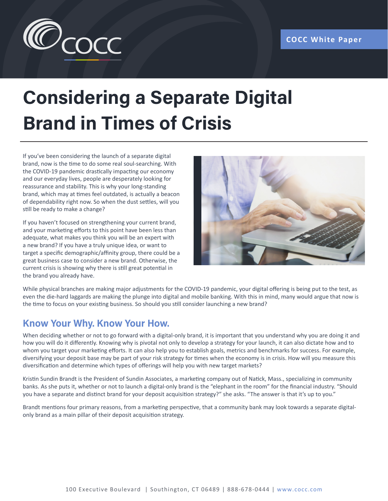

# **Considering a Separate Digital Brand in Times of Crisis**

If you've been considering the launch of a separate digital brand, now is the time to do some real soul-searching. With the COVID-19 pandemic drastically impacting our economy and our everyday lives, people are desperately looking for reassurance and stability. This is why your long-standing brand, which may at times feel outdated, is actually a beacon of dependability right now. So when the dust settles, will you still be ready to make a change?

If you haven't focused on strengthening your current brand, and your marketing efforts to this point have been less than adequate, what makes you think you will be an expert with a new brand? If you have a truly unique idea, or want to target a specific demographic/affinity group, there could be a great business case to consider a new brand. Otherwise, the current crisis is showing why there is still great potential in the brand you already have.



While physical branches are making major adjustments for the COVID-19 pandemic, your digital offering is being put to the test, as even the die-hard laggards are making the plunge into digital and mobile banking. With this in mind, many would argue that now is the time to focus on your existing business. So should you still consider launching a new brand?

# **Know Your Why. Know Your How.**

When deciding whether or not to go forward with a digital-only brand, it is important that you understand why you are doing it and how you will do it differently. Knowing why is pivotal not only to develop a strategy for your launch, it can also dictate how and to whom you target your marketing efforts. It can also help you to establish goals, metrics and benchmarks for success. For example, diversifying your deposit base may be part of your risk strategy for times when the economy is in crisis. How will you measure this diversification and determine which types of offerings will help you with new target markets?

Kristin Sundin Brandt is the President of Sundin Associates, a marketing company out of Natick, Mass., specializing in community banks. As she puts it, whether or not to launch a digital-only brand is the "elephant in the room" for the financial industry. "Should you have a separate and distinct brand for your deposit acquisition strategy?" she asks. "The answer is that it's up to you."

Brandt mentions four primary reasons, from a marketing perspective, that a community bank may look towards a separate digitalonly brand as a main pillar of their deposit acquisition strategy.